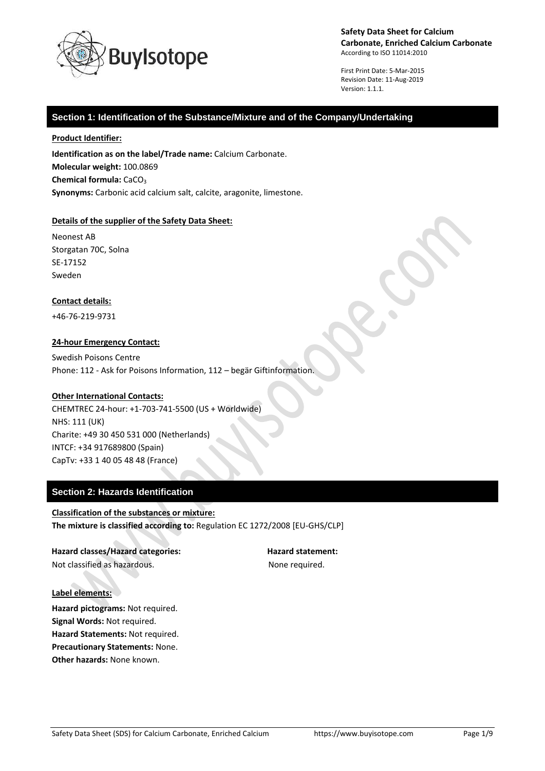

First Print Date: 5-Mar-2015 Revision Date: 11-Aug-2019 Version: 1.1.1.

## **Section 1: Identification of the Substance/Mixture and of the Company/Undertaking**

#### **Product Identifier:**

**Identification as on the label/Trade name:** Calcium Carbonate. **Molecular weight:** 100.0869 **Chemical formula: CaCO<sub>3</sub> Synonyms:** Carbonic acid calcium salt, calcite, aragonite, limestone.

### **Details of the supplier of the Safety Data Sheet:**

Neonest AB Storgatan 70C, Solna SE-17152 Sweden

#### **Contact details:**

+46-76-219-9731

### **24-hour Emergency Contact:**

Swedish Poisons Centre Phone: 112 - Ask for Poisons Information, 112 – begär Giftinformation.

## **Other International Contacts:**

CHEMTREC 24-hour: +1-703-741-5500 (US + Worldwide) NHS: 111 (UK) Charite: +49 30 450 531 000 (Netherlands) INTCF: +34 917689800 (Spain) CapTv: +33 1 40 05 48 48 (France)

# **Section 2: Hazards Identification**

**Classification of the substances or mixture: The mixture is classified according to:** Regulation EC 1272/2008 [EU-GHS/CLP]

**Hazard classes/Hazard categories: Hazard statement:** Not classified as hazardous. The state of the None required.

#### **Label elements:**

**Hazard pictograms:** Not required. **Signal Words:** Not required. **Hazard Statements:** Not required. **Precautionary Statements:** None. **Other hazards:** None known.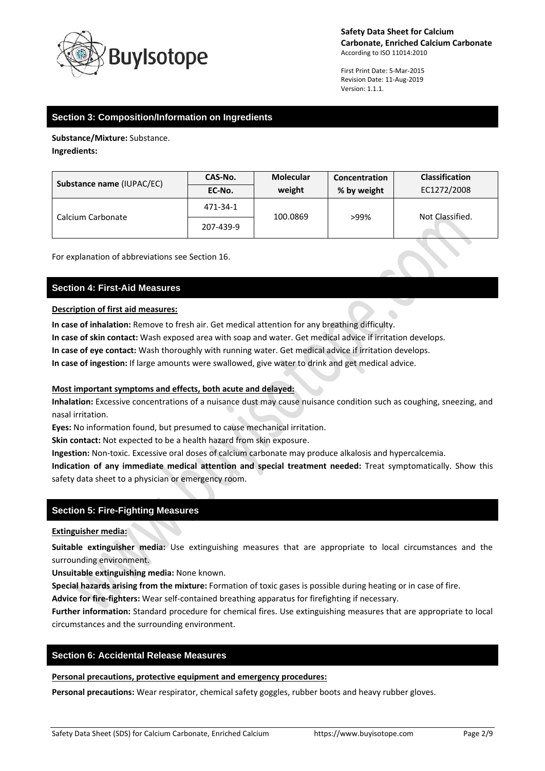

First Print Date: 5-Mar-2015 Revision Date: 11-Aug-2019 Version: 1.1.1.

 $\bullet$ 

# **Section 3: Composition/Information on Ingredients**

**Substance/Mixture:** Substance. **Ingredients:**

| Substance name (IUPAC/EC) | CAS-No.   | <b>Molecular</b> | <b>Concentration</b> | <b>Classification</b> |
|---------------------------|-----------|------------------|----------------------|-----------------------|
|                           | EC-No.    | weight           | % by weight          | EC1272/2008           |
| Calcium Carbonate         | 471-34-1  | 100.0869         | >99%                 | Not Classified.       |
|                           | 207-439-9 |                  |                      |                       |

For explanation of abbreviations see Section 16.

# **Section 4: First-Aid Measures**

### **Description of first aid measures:**

**In case of inhalation:** Remove to fresh air. Get medical attention for any breathing difficulty.

**In case of skin contact:** Wash exposed area with soap and water. Get medical advice if irritation develops.

**In case of eye contact:** Wash thoroughly with running water. Get medical advice if irritation develops.

**In case of ingestion:** If large amounts were swallowed, give water to drink and get medical advice.

## **Most important symptoms and effects, both acute and delayed:**

**Inhalation:** Excessive concentrations of a nuisance dust may cause nuisance condition such as coughing, sneezing, and nasal irritation.

**Eyes:** No information found, but presumed to cause mechanical irritation.

**Skin contact:** Not expected to be a health hazard from skin exposure.

**Ingestion:** Non-toxic. Excessive oral doses of calcium carbonate may produce alkalosis and hypercalcemia.

**Indication of any immediate medical attention and special treatment needed:** Treat symptomatically. Show this safety data sheet to a physician or emergency room.

# **Section 5: Fire-Fighting Measures**

## **Extinguisher media:**

**Suitable extinguisher media:** Use extinguishing measures that are appropriate to local circumstances and the surrounding environment.

**Unsuitable extinguishing media:** None known.

**Special hazards arising from the mixture:** Formation of toxic gases is possible during heating or in case of fire.

**Advice for fire-fighters:** Wear self-contained breathing apparatus for firefighting if necessary.

**Further information:** Standard procedure for chemical fires. Use extinguishing measures that are appropriate to local circumstances and the surrounding environment.

# **Section 6: Accidental Release Measures**

**Personal precautions, protective equipment and emergency procedures:**

**Personal precautions:** Wear respirator, chemical safety goggles, rubber boots and heavy rubber gloves.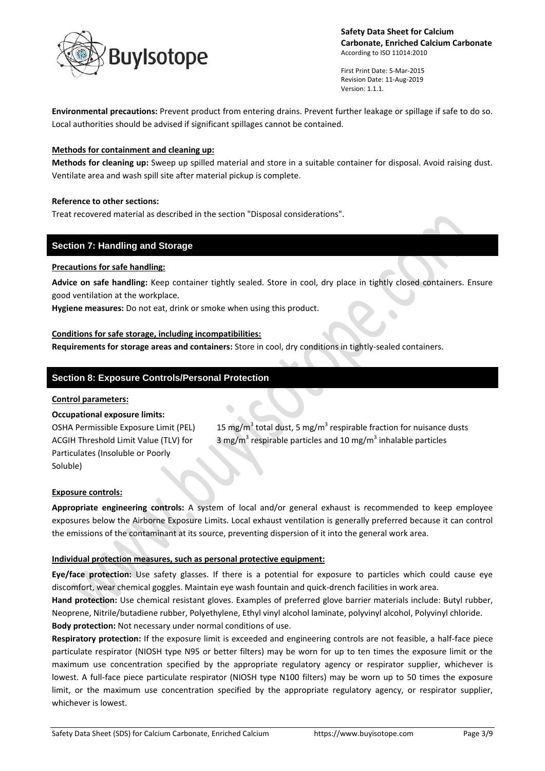

First Print Date: 5-Mar-2015 Revision Date: 11-Aug-2019 Version: 1.1.1.

 $\bullet$ 

**Environmental precautions:** Prevent product from entering drains. Prevent further leakage or spillage if safe to do so. Local authorities should be advised if significant spillages cannot be contained.

## **Methods for containment and cleaning up:**

**Methods for cleaning up:** Sweep up spilled material and store in a suitable container for disposal. Avoid raising dust. Ventilate area and wash spill site after material pickup is complete.

## **Reference to other sections:**

Treat recovered material as described in the section "Disposal considerations".

# **Section 7: Handling and Storage**

## **Precautions for safe handling:**

**Advice on safe handling:** Keep container tightly sealed. Store in cool, dry place in tightly closed containers. Ensure good ventilation at the workplace.

**Hygiene measures:** Do not eat, drink or smoke when using this product.

## **Conditions for safe storage, including incompatibilities:**

**Requirements for storage areas and containers:** Store in cool, dry conditions in tightly-sealed containers.

# **Section 8: Exposure Controls/Personal Protection**

### **Control parameters:**

### **Occupational exposure limits:**

OSHA Permissible Exposure Limit (PEL) ACGIH Threshold Limit Value (TLV) for Particulates (Insoluble or Poorly Soluble)

total dust, 5 mg/m<sup>3</sup> respirable fraction for nuisance dusts respirable particles and 10 mg/ $m^3$  inhalable particles

### **Exposure controls:**

**Appropriate engineering controls:** A system of local and/or general exhaust is recommended to keep employee exposures below the Airborne Exposure Limits. Local exhaust ventilation is generally preferred because it can control the emissions of the contaminant at its source, preventing dispersion of it into the general work area.

### **Individual protection measures, such as personal protective equipment:**

**Eye/face protection:** Use safety glasses. If there is a potential for exposure to particles which could cause eye discomfort, wear chemical goggles. Maintain eye wash fountain and quick-drench facilities in work area.

**Hand protection:** Use chemical resistant gloves. Examples of preferred glove barrier materials include: Butyl rubber, Neoprene, Nitrile/butadiene rubber, Polyethylene, Ethyl vinyl alcohol laminate, polyvinyl alcohol, Polyvinyl chloride. **Body protection:** Not necessary under normal conditions of use.

**Respiratory protection:** If the exposure limit is exceeded and engineering controls are not feasible, a half-face piece particulate respirator (NIOSH type N95 or better filters) may be worn for up to ten times the exposure limit or the maximum use concentration specified by the appropriate regulatory agency or respirator supplier, whichever is lowest. A full-face piece particulate respirator (NIOSH type N100 filters) may be worn up to 50 times the exposure limit, or the maximum use concentration specified by the appropriate regulatory agency, or respirator supplier, whichever is lowest.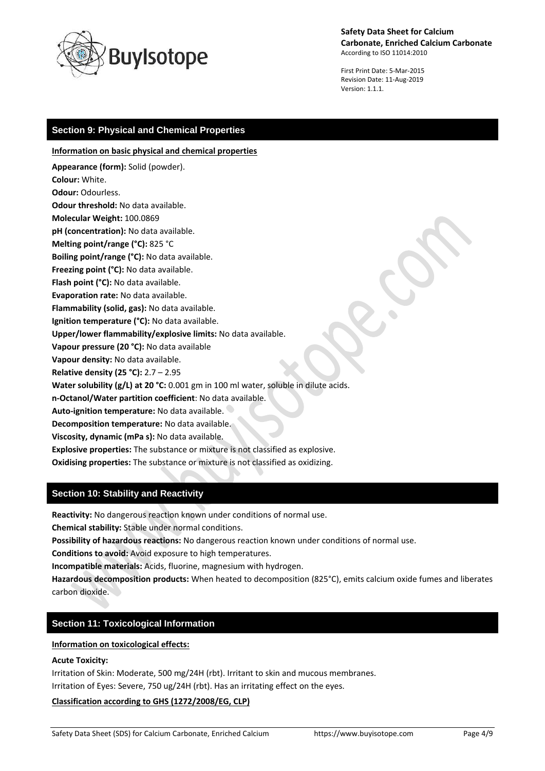

First Print Date: 5-Mar-2015 Revision Date: 11-Aug-2019 Version: 1.1.1.

# **Section 9: Physical and Chemical Properties**

**Information on basic physical and chemical properties**

**Appearance (form):** Solid (powder). **Colour:** White. **Odour:** Odourless. **Odour threshold:** No data available. **Molecular Weight:** 100.0869 **pH (concentration):** No data available. **Melting point/range (°C):** 825 °C **Boiling point/range (°C):** No data available. **Freezing point (°C):** No data available. **Flash point (°C):** No data available. **Evaporation rate:** No data available. **Flammability (solid, gas):** No data available. **Ignition temperature (°C):** No data available. **Upper/lower flammability/explosive limits:** No data available. **Vapour pressure (20 °C):** No data available **Vapour density:** No data available. **Relative density (25 °C):** 2.7 – 2.95 **Water solubility (g/L) at 20 °C:** 0.001 gm in 100 ml water, soluble in dilute acids. **n-Octanol/Water partition coefficient**: No data available. **Auto-ignition temperature:** No data available. **Decomposition temperature:** No data available. **Viscosity, dynamic (mPa s):** No data available.

**Explosive properties:** The substance or mixture is not classified as explosive.

**Oxidising properties:** The substance or mixture is not classified as oxidizing.

# **Section 10: Stability and Reactivity**

**Reactivity:** No dangerous reaction known under conditions of normal use.

**Chemical stability:** Stable under normal conditions.

**Possibility of hazardous reactions:** No dangerous reaction known under conditions of normal use.

**Conditions to avoid:** Avoid exposure to high temperatures.

**Incompatible materials:** Acids, fluorine, magnesium with hydrogen.

**Hazardous decomposition products:** When heated to decomposition (825°C), emits calcium oxide fumes and liberates carbon dioxide.

# **Section 11: Toxicological Information**

## **Information on toxicological effects:**

## **Acute Toxicity:**

Irritation of Skin: Moderate, 500 mg/24H (rbt). Irritant to skin and mucous membranes. Irritation of Eyes: Severe, 750 ug/24H (rbt). Has an irritating effect on the eyes.

# **Classification according to GHS (1272/2008/EG, CLP)**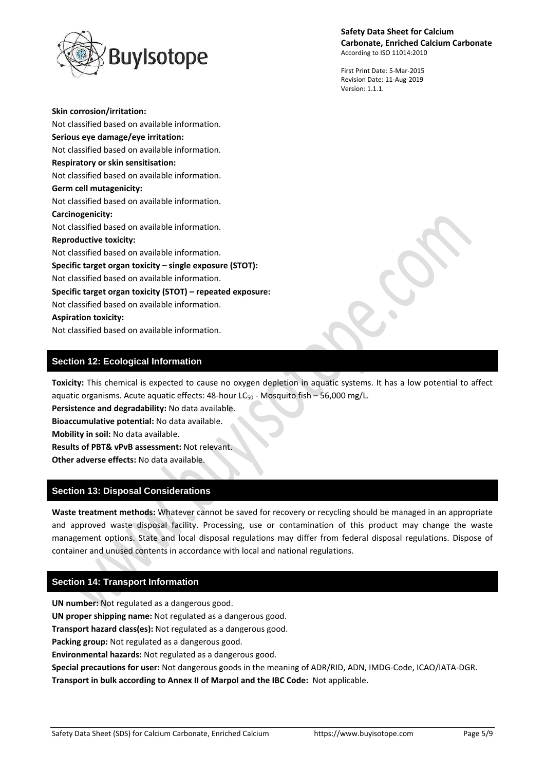

First Print Date: 5-Mar-2015 Revision Date: 11-Aug-2019 Version: 1.1.1.

**Skin corrosion/irritation:** Not classified based on available information. **Serious eye damage/eye irritation:** Not classified based on available information. **Respiratory or skin sensitisation:** Not classified based on available information. **Germ cell mutagenicity:** Not classified based on available information. **Carcinogenicity:** Not classified based on available information. **Reproductive toxicity:** Not classified based on available information. **Specific target organ toxicity – single exposure (STOT):** Not classified based on available information. **Specific target organ toxicity (STOT) – repeated exposure:** Not classified based on available information. **Aspiration toxicity:** Not classified based on available information.

# **Section 12: Ecological Information**

**Toxicity:** This chemical is expected to cause no oxygen depletion in aquatic systems. It has a low potential to affect aquatic organisms. Acute aquatic effects:  $48$ -hour LC<sub>50</sub> - Mosquito fish – 56,000 mg/L.

**Persistence and degradability:** No data available. **Bioaccumulative potential:** No data available. **Mobility in soil:** No data available. **Results of PBT& vPvB assessment:** Not relevant.

**Other adverse effects:** No data available.

# **Section 13: Disposal Considerations**

**Waste treatment methods:** Whatever cannot be saved for recovery or recycling should be managed in an appropriate and approved waste disposal facility. Processing, use or contamination of this product may change the waste management options. State and local disposal regulations may differ from federal disposal regulations. Dispose of container and unused contents in accordance with local and national regulations.

# **Section 14: Transport Information**

**UN number:** Not regulated as a dangerous good. **UN proper shipping name:** Not regulated as a dangerous good. **Transport hazard class(es):** Not regulated as a dangerous good. **Packing group:** Not regulated as a dangerous good. **Environmental hazards:** Not regulated as a dangerous good. **Special precautions for user:** Not dangerous goods in the meaning of ADR/RID, ADN, IMDG-Code, ICAO/IATA-DGR. **Transport in bulk according to Annex II of Marpol and the IBC Code:** Not applicable.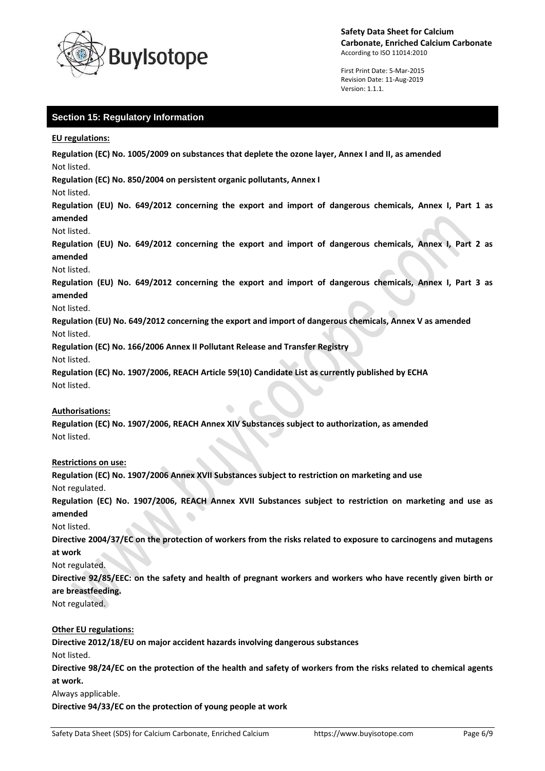

First Print Date: 5-Mar-2015 Revision Date: 11-Aug-2019 Version: 1.1.1.

# **Section 15: Regulatory Information**

**EU regulations:**

**Regulation (EC) No. 1005/2009 on substances that deplete the ozone layer, Annex I and II, as amended** Not listed.

**Regulation (EC) No. 850/2004 on persistent organic pollutants, Annex I**

Not listed.

**Regulation (EU) No. 649/2012 concerning the export and import of dangerous chemicals, Annex I, Part 1 as amended**

Not listed.

**Regulation (EU) No. 649/2012 concerning the export and import of dangerous chemicals, Annex I, Part 2 as amended**

Not listed.

**Regulation (EU) No. 649/2012 concerning the export and import of dangerous chemicals, Annex I, Part 3 as amended**

#### Not listed.

**Regulation (EU) No. 649/2012 concerning the export and import of dangerous chemicals, Annex V as amended** Not listed.

**Regulation (EC) No. 166/2006 Annex II Pollutant Release and Transfer Registry**

Not listed.

**Regulation (EC) No. 1907/2006, REACH Article 59(10) Candidate List as currently published by ECHA** Not listed.

### **Authorisations:**

**Regulation (EC) No. 1907/2006, REACH Annex XIV Substances subject to authorization, as amended** Not listed.

### **Restrictions on use:**

**Regulation (EC) No. 1907/2006 Annex XVII Substances subject to restriction on marketing and use** Not regulated.

**Regulation (EC) No. 1907/2006, REACH Annex XVII Substances subject to restriction on marketing and use as amended**

Not listed.

**Directive 2004/37/EC on the protection of workers from the risks related to exposure to carcinogens and mutagens at work**

Not regulated.

**Directive 92/85/EEC: on the safety and health of pregnant workers and workers who have recently given birth or are breastfeeding.**

Not regulated.

## **Other EU regulations:**

**Directive 2012/18/EU on major accident hazards involving dangerous substances**

Not listed.

**Directive 98/24/EC on the protection of the health and safety of workers from the risks related to chemical agents at work.**

Always applicable.

**Directive 94/33/EC on the protection of young people at work**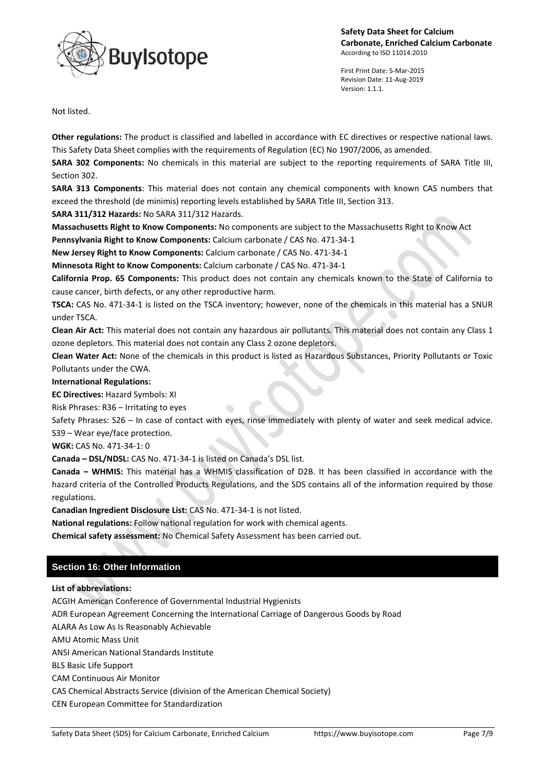



First Print Date: 5-Mar-2015 Revision Date: 11-Aug-2019 Version: 1.1.1.

Not listed.

**Other regulations:** The product is classified and labelled in accordance with EC directives or respective national laws. This Safety Data Sheet complies with the requirements of Regulation (EC) No 1907/2006, as amended.

**SARA 302 Components:** No chemicals in this material are subject to the reporting requirements of SARA Title III, Section 302.

**SARA 313 Components**: This material does not contain any chemical components with known CAS numbers that exceed the threshold (de minimis) reporting levels established by SARA Title III, Section 313.

**SARA 311/312 Hazards:** No SARA 311/312 Hazards.

**Massachusetts Right to Know Components:** No components are subject to the Massachusetts Right to Know Act

**Pennsylvania Right to Know Components:** Calcium carbonate / CAS No. 471-34-1

**New Jersey Right to Know Components:** Calcium carbonate / CAS No. 471-34-1 **Minnesota Right to Know Components:** Calcium carbonate / CAS No. 471-34-1

**California Prop. 65 Components:** This product does not contain any chemicals known to the State of California to

cause cancer, birth defects, or any other reproductive harm.

**TSCA:** CAS No. 471-34-1 is listed on the TSCA inventory; however, none of the chemicals in this material has a SNUR under TSCA.

**Clean Air Act:** This material does not contain any hazardous air pollutants. This material does not contain any Class 1 ozone depletors. This material does not contain any Class 2 ozone depletors.

**Clean Water Act:** None of the chemicals in this product is listed as Hazardous Substances, Priority Pollutants or Toxic Pollutants under the CWA.

**International Regulations:**

**EC Directives:** Hazard Symbols: XI

Risk Phrases: R36 – Irritating to eyes

Safety Phrases: S26 – In case of contact with eyes, rinse immediately with plenty of water and seek medical advice. S39 – Wear eye/face protection.

**WGK:** CAS No. 471-34-1: 0

**Canada – DSL/NDSL:** CAS No. 471-34-1 is listed on Canada's DSL list.

**Canada – WHMIS:** This material has a WHMIS classification of D2B. It has been classified in accordance with the hazard criteria of the Controlled Products Regulations, and the SDS contains all of the information required by those regulations.

**Canadian Ingredient Disclosure List:** CAS No. 471-34-1 is not listed.

**National regulations:** Follow national regulation for work with chemical agents.

**Chemical safety assessment:** No Chemical Safety Assessment has been carried out.

# **Section 16: Other Information**

**List of abbreviations:**

ACGIH American Conference of Governmental Industrial Hygienists

ADR European Agreement Concerning the International Carriage of Dangerous Goods by Road

ALARA As Low As Is Reasonably Achievable

AMU Atomic Mass Unit

ANSI American National Standards Institute

BLS Basic Life Support

CAM Continuous Air Monitor

CAS Chemical Abstracts Service (division of the American Chemical Society)

CEN European Committee for Standardization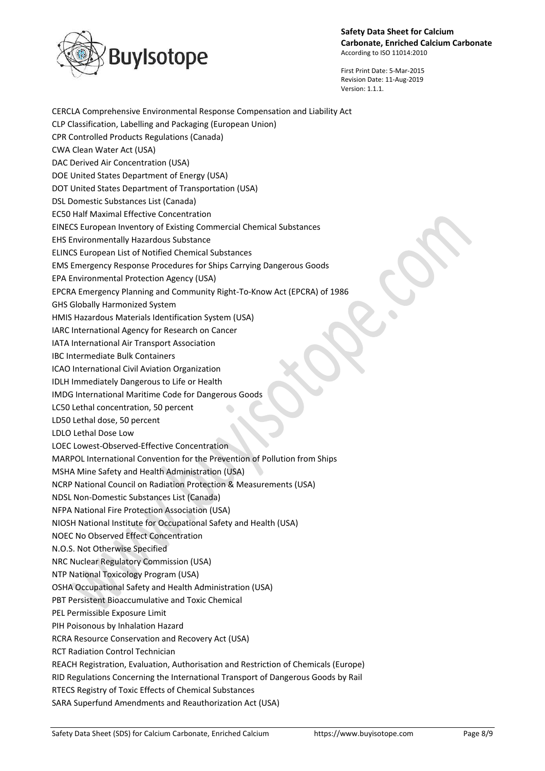

First Print Date: 5-Mar-2015 Revision Date: 11-Aug-2019 Version: 1.1.1.

Safety Data Sheet (SDS) for Calcium Carbonate, Enriched Calcium https://www.buyisotope.com Page 8/9 CERCLA Comprehensive Environmental Response Compensation and Liability Act CLP Classification, Labelling and Packaging (European Union) CPR Controlled Products Regulations (Canada) CWA Clean Water Act (USA) DAC Derived Air Concentration (USA) DOE United States Department of Energy (USA) DOT United States Department of Transportation (USA) DSL Domestic Substances List (Canada) EC50 Half Maximal Effective Concentration EINECS European Inventory of Existing Commercial Chemical Substances EHS Environmentally Hazardous Substance ELINCS European List of Notified Chemical Substances EMS Emergency Response Procedures for Ships Carrying Dangerous Goods EPA Environmental Protection Agency (USA) EPCRA Emergency Planning and Community Right-To-Know Act (EPCRA) of 1986 GHS Globally Harmonized System HMIS Hazardous Materials Identification System (USA) IARC International Agency for Research on Cancer IATA International Air Transport Association IBC Intermediate Bulk Containers ICAO International Civil Aviation Organization IDLH Immediately Dangerous to Life or Health IMDG International Maritime Code for Dangerous Goods LC50 Lethal concentration, 50 percent LD50 Lethal dose, 50 percent LDLO Lethal Dose Low LOEC Lowest-Observed-Effective Concentration MARPOL International Convention for the Prevention of Pollution from Ships MSHA Mine Safety and Health Administration (USA) NCRP National Council on Radiation Protection & Measurements (USA) NDSL Non-Domestic Substances List (Canada) NFPA National Fire Protection Association (USA) NIOSH National Institute for Occupational Safety and Health (USA) NOEC No Observed Effect Concentration N.O.S. Not Otherwise Specified NRC Nuclear Regulatory Commission (USA) NTP National Toxicology Program (USA) OSHA Occupational Safety and Health Administration (USA) PBT Persistent Bioaccumulative and Toxic Chemical PEL Permissible Exposure Limit PIH Poisonous by Inhalation Hazard RCRA Resource Conservation and Recovery Act (USA) RCT Radiation Control Technician REACH Registration, Evaluation, Authorisation and Restriction of Chemicals (Europe) RID Regulations Concerning the International Transport of Dangerous Goods by Rail RTECS Registry of Toxic Effects of Chemical Substances SARA Superfund Amendments and Reauthorization Act (USA)